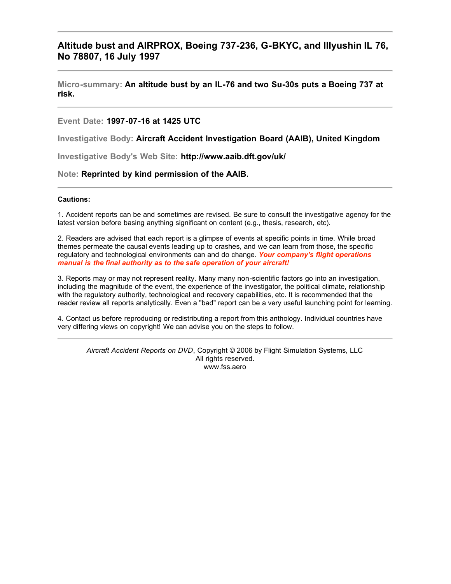# **Altitude bust and AIRPROX, Boeing 737-236, G-BKYC, and Illyushin IL 76, No 78807, 16 July 1997**

#### **Micro-summary: An altitude bust by an IL-76 and two Su-30s puts a Boeing 737 at risk.**

#### **Event Date: 1997-07-16 at 1425 UTC**

**Investigative Body: Aircraft Accident Investigation Board (AAIB), United Kingdom**

**Investigative Body's Web Site: http://www.aaib.dft.gov/uk/**

#### **Note: Reprinted by kind permission of the AAIB.**

#### **Cautions:**

1. Accident reports can be and sometimes are revised. Be sure to consult the investigative agency for the latest version before basing anything significant on content (e.g., thesis, research, etc).

2. Readers are advised that each report is a glimpse of events at specific points in time. While broad themes permeate the causal events leading up to crashes, and we can learn from those, the specific regulatory and technological environments can and do change. *Your company's flight operations manual is the final authority as to the safe operation of your aircraft!*

3. Reports may or may not represent reality. Many many non-scientific factors go into an investigation, including the magnitude of the event, the experience of the investigator, the political climate, relationship with the regulatory authority, technological and recovery capabilities, etc. It is recommended that the reader review all reports analytically. Even a "bad" report can be a very useful launching point for learning.

4. Contact us before reproducing or redistributing a report from this anthology. Individual countries have very differing views on copyright! We can advise you on the steps to follow.

*Aircraft Accident Reports on DVD*, Copyright © 2006 by Flight Simulation Systems, LLC All rights reserved. www.fss.aero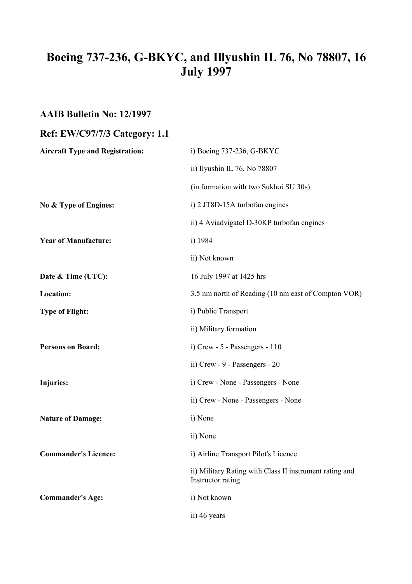# **Boeing 737-236, G-BKYC, and Illyushin IL 76, No 78807, 16 July 1997**

# **AAIB Bulletin No: 12/1997**

# **Ref: EW/C97/7/3 Category: 1.1**

| <b>Aircraft Type and Registration:</b> | i) Boeing 737-236, G-BKYC                                                    |
|----------------------------------------|------------------------------------------------------------------------------|
|                                        | ii) Ilyushin IL 76, No 78807                                                 |
|                                        | (in formation with two Sukhoi SU 30s)                                        |
| No & Type of Engines:                  | i) 2 JT8D-15A turbofan engines                                               |
|                                        | ii) 4 Aviadvigatel D-30KP turbofan engines                                   |
| <b>Year of Manufacture:</b>            | i) 1984                                                                      |
|                                        | ii) Not known                                                                |
| Date & Time (UTC):                     | 16 July 1997 at 1425 hrs                                                     |
| Location:                              | 3.5 nm north of Reading (10 nm east of Compton VOR)                          |
| <b>Type of Flight:</b>                 | i) Public Transport                                                          |
|                                        | ii) Military formation                                                       |
| <b>Persons on Board:</b>               | i) Crew - 5 - Passengers - 110                                               |
|                                        | ii) Crew - 9 - Passengers - 20                                               |
| Injuries:                              | i) Crew - None - Passengers - None                                           |
|                                        | ii) Crew - None - Passengers - None                                          |
| <b>Nature of Damage:</b>               | i) None                                                                      |
|                                        | ii) None                                                                     |
| <b>Commander's Licence:</b>            | i) Airline Transport Pilot's Licence                                         |
|                                        | ii) Military Rating with Class II instrument rating and<br>Instructor rating |
| <b>Commander's Age:</b>                | i) Not known                                                                 |
|                                        | ii) 46 years                                                                 |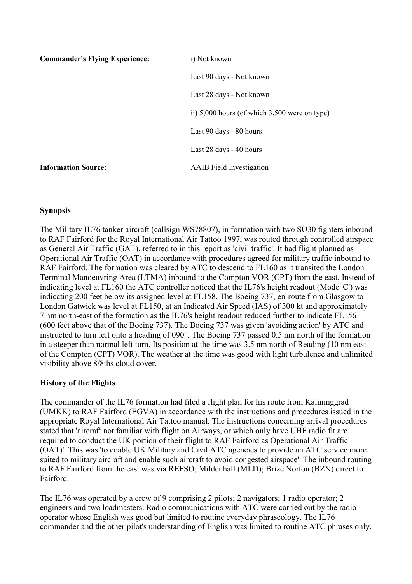| <b>Commander's Flying Experience:</b> | i) Not known                                      |
|---------------------------------------|---------------------------------------------------|
|                                       | Last 90 days - Not known                          |
|                                       | Last 28 days - Not known                          |
|                                       | ii) $5,000$ hours (of which $3,500$ were on type) |
|                                       | Last 90 days - 80 hours                           |
|                                       | Last 28 days - 40 hours                           |
| <b>Information Source:</b>            | <b>AAIB</b> Field Investigation                   |

# **Synopsis**

The Military IL76 tanker aircraft (callsign WS78807), in formation with two SU30 fighters inbound to RAF Fairford for the Royal International Air Tattoo 1997, was routed through controlled airspace as General Air Traffic (GAT), referred to in this report as 'civil traffic'. It had flight planned as Operational Air Traffic (OAT) in accordance with procedures agreed for military traffic inbound to RAF Fairford. The formation was cleared by ATC to descend to FL160 as it transited the London Terminal Manoeuvring Area (LTMA) inbound to the Compton VOR (CPT) from the east. Instead of indicating level at FL160 the ATC controller noticed that the IL76's height readout (Mode 'C') was indicating 200 feet below its assigned level at FL158. The Boeing 737, en-route from Glasgow to London Gatwick was level at FL150, at an Indicated Air Speed (IAS) of 300 kt and approximately 7 nm north-east of the formation as the IL76's height readout reduced further to indicate FL156 (600 feet above that of the Boeing 737). The Boeing 737 was given 'avoiding action' by ATC and instructed to turn left onto a heading of 090°. The Boeing 737 passed 0.5 nm north of the formation in a steeper than normal left turn. Its position at the time was 3.5 nm north of Reading (10 nm east of the Compton (CPT) VOR). The weather at the time was good with light turbulence and unlimited visibility above 8/8ths cloud cover.

## **History of the Flights**

The commander of the IL76 formation had filed a flight plan for his route from Kalininggrad (UMKK) to RAF Fairford (EGVA) in accordance with the instructions and procedures issued in the appropriate Royal International Air Tattoo manual. The instructions concerning arrival procedures stated that 'aircraft not familiar with flight on Airways, or which only have UHF radio fit are required to conduct the UK portion of their flight to RAF Fairford as Operational Air Traffic (OAT)'. This was 'to enable UK Military and Civil ATC agencies to provide an ATC service more suited to military aircraft and enable such aircraft to avoid congested airspace'. The inbound routing to RAF Fairford from the east was via REFSO; Mildenhall (MLD); Brize Norton (BZN) direct to Fairford.

The IL76 was operated by a crew of 9 comprising 2 pilots; 2 navigators; 1 radio operator; 2 engineers and two loadmasters. Radio communications with ATC were carried out by the radio operator whose English was good but limited to routine everyday phraseology. The IL76 commander and the other pilot's understanding of English was limited to routine ATC phrases only.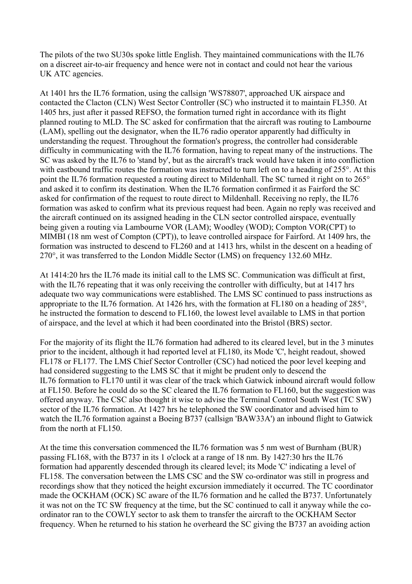The pilots of the two SU30s spoke little English. They maintained communications with the IL76 on a discreet air-to-air frequency and hence were not in contact and could not hear the various UK ATC agencies.

At 1401 hrs the IL76 formation, using the callsign 'WS78807', approached UK airspace and contacted the Clacton (CLN) West Sector Controller (SC) who instructed it to maintain FL350. At 1405 hrs, just after it passed REFSO, the formation turned right in accordance with its flight planned routing to MLD. The SC asked for confirmation that the aircraft was routing to Lambourne (LAM), spelling out the designator, when the IL76 radio operator apparently had difficulty in understanding the request. Throughout the formation's progress, the controller had considerable difficulty in communicating with the IL76 formation, having to repeat many of the instructions. The SC was asked by the IL76 to 'stand by', but as the aircraft's track would have taken it into confliction with eastbound traffic routes the formation was instructed to turn left on to a heading of 255°. At this point the IL76 formation requested a routing direct to Mildenhall. The SC turned it right on to 265° and asked it to confirm its destination. When the IL76 formation confirmed it as Fairford the SC asked for confirmation of the request to route direct to Mildenhall. Receiving no reply, the IL76 formation was asked to confirm what its previous request had been. Again no reply was received and the aircraft continued on its assigned heading in the CLN sector controlled airspace, eventually being given a routing via Lambourne VOR (LAM); Woodley (WOD); Compton VOR(CPT) to MIMBI (18 nm west of Compton (CPT)), to leave controlled airspace for Fairford. At 1409 hrs, the formation was instructed to descend to FL260 and at 1413 hrs, whilst in the descent on a heading of 270°, it was transferred to the London Middle Sector (LMS) on frequency 132.60 MHz.

At 1414:20 hrs the IL76 made its initial call to the LMS SC. Communication was difficult at first, with the IL76 repeating that it was only receiving the controller with difficulty, but at 1417 hrs adequate two way communications were established. The LMS SC continued to pass instructions as appropriate to the IL76 formation. At 1426 hrs, with the formation at FL180 on a heading of 285°, he instructed the formation to descend to FL160, the lowest level available to LMS in that portion of airspace, and the level at which it had been coordinated into the Bristol (BRS) sector.

For the majority of its flight the IL76 formation had adhered to its cleared level, but in the 3 minutes prior to the incident, although it had reported level at FL180, its Mode 'C', height readout, showed FL178 or FL177. The LMS Chief Sector Controller (CSC) had noticed the poor level keeping and had considered suggesting to the LMS SC that it might be prudent only to descend the IL76 formation to FL170 until it was clear of the track which Gatwick inbound aircraft would follow at FL150. Before he could do so the SC cleared the IL76 formation to FL160, but the suggestion was offered anyway. The CSC also thought it wise to advise the Terminal Control South West (TC SW) sector of the IL76 formation. At 1427 hrs he telephoned the SW coordinator and advised him to watch the IL76 formation against a Boeing B737 (callsign 'BAW33A') an inbound flight to Gatwick from the north at FL150.

At the time this conversation commenced the IL76 formation was 5 nm west of Burnham (BUR) passing FL168, with the B737 in its 1 o'clock at a range of 18 nm. By 1427:30 hrs the IL76 formation had apparently descended through its cleared level; its Mode 'C' indicating a level of FL158. The conversation between the LMS CSC and the SW co-ordinator was still in progress and recordings show that they noticed the height excursion immediately it occurred. The TC coordinator made the OCKHAM (OCK) SC aware of the IL76 formation and he called the B737. Unfortunately it was not on the TC SW frequency at the time, but the SC continued to call it anyway while the coordinator ran to the COWLY sector to ask them to transfer the aircraft to the OCKHAM Sector frequency. When he returned to his station he overheard the SC giving the B737 an avoiding action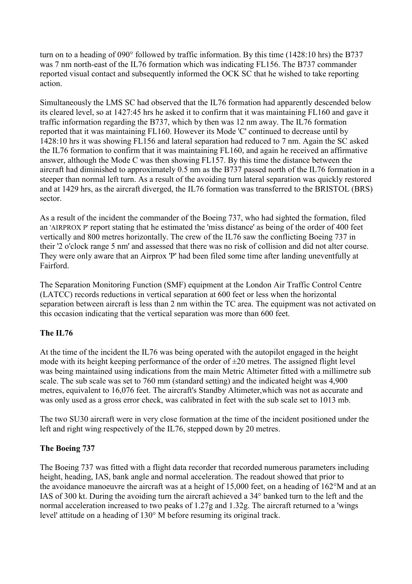turn on to a heading of 090° followed by traffic information. By this time (1428:10 hrs) the B737 was 7 nm north-east of the IL76 formation which was indicating FL156. The B737 commander reported visual contact and subsequently informed the OCK SC that he wished to take reporting action.

Simultaneously the LMS SC had observed that the IL76 formation had apparently descended below its cleared level, so at 1427:45 hrs he asked it to confirm that it was maintaining FL160 and gave it traffic information regarding the B737, which by then was 12 nm away. The IL76 formation reported that it was maintaining FL160. However its Mode 'C' continued to decrease until by 1428:10 hrs it was showing FL156 and lateral separation had reduced to 7 nm. Again the SC asked the IL76 formation to confirm that it was maintaining FL160, and again he received an affirmative answer, although the Mode C was then showing FL157. By this time the distance between the aircraft had diminished to approximately 0.5 nm as the B737 passed north of the IL76 formation in a steeper than normal left turn. As a result of the avoiding turn lateral separation was quickly restored and at 1429 hrs, as the aircraft diverged, the IL76 formation was transferred to the BRISTOL (BRS) sector.

As a result of the incident the commander of the Boeing 737, who had sighted the formation, filed an 'AIRPROX P' report stating that he estimated the 'miss distance' as being of the order of 400 feet vertically and 800 metres horizontally. The crew of the IL76 saw the conflicting Boeing 737 in their '2 o'clock range 5 nm' and assessed that there was no risk of collision and did not alter course. They were only aware that an Airprox 'P' had been filed some time after landing uneventfully at Fairford.

The Separation Monitoring Function (SMF) equipment at the London Air Traffic Control Centre (LATCC) records reductions in vertical separation at 600 feet or less when the horizontal separation between aircraft is less than 2 nm within the TC area. The equipment was not activated on this occasion indicating that the vertical separation was more than 600 feet.

# **The IL76**

At the time of the incident the IL76 was being operated with the autopilot engaged in the height mode with its height keeping performance of the order of  $\pm 20$  metres. The assigned flight level was being maintained using indications from the main Metric Altimeter fitted with a millimetre sub scale. The sub scale was set to 760 mm (standard setting) and the indicated height was 4,900 metres, equivalent to 16,076 feet. The aircraft's Standby Altimeter,which was not as accurate and was only used as a gross error check, was calibrated in feet with the sub scale set to 1013 mb.

The two SU30 aircraft were in very close formation at the time of the incident positioned under the left and right wing respectively of the IL76, stepped down by 20 metres.

## **The Boeing 737**

The Boeing 737 was fitted with a flight data recorder that recorded numerous parameters including height, heading, IAS, bank angle and normal acceleration. The readout showed that prior to the avoidance manoeuvre the aircraft was at a height of 15,000 feet, on a heading of 162°M and at an IAS of 300 kt. During the avoiding turn the aircraft achieved a 34° banked turn to the left and the normal acceleration increased to two peaks of 1.27g and 1.32g. The aircraft returned to a 'wings level' attitude on a heading of 130° M before resuming its original track.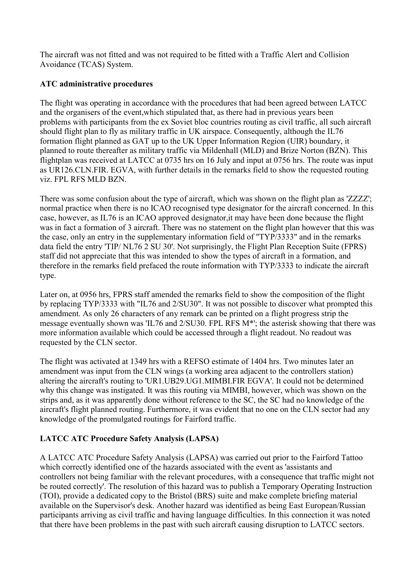The aircraft was not fitted and was not required to be fitted with a Traffic Alert and Collision Avoidance (TCAS) System.

# **ATC administrative procedures**

The flight was operating in accordance with the procedures that had been agreed between LATCC and the organisers of the event,which stipulated that, as there had in previous years been problems with participants from the ex Soviet bloc countries routing as civil traffic, all such aircraft should flight plan to fly as military traffic in UK airspace. Consequently, although the IL76 formation flight planned as GAT up to the UK Upper Information Region (UIR) boundary, it planned to route thereafter as military traffic via Mildenhall (MLD) and Brize Norton (BZN). This flightplan was received at LATCC at 0735 hrs on 16 July and input at 0756 hrs. The route was input as UR126.CLN.FIR. EGVA, with further details in the remarks field to show the requested routing viz. FPL RFS MLD BZN.

There was some confusion about the type of aircraft, which was shown on the flight plan as 'ZZZZ'; normal practice when there is no ICAO recognised type designator for the aircraft concerned. In this case, however, as IL76 is an ICAO approved designator,it may have been done because the flight was in fact a formation of 3 aircraft. There was no statement on the flight plan however that this was the case, only an entry in the supplementary information field of "TYP/3333" and in the remarks data field the entry 'TIP/ NL76 2 SU 30'. Not surprisingly, the Flight Plan Reception Suite (FPRS) staff did not appreciate that this was intended to show the types of aircraft in a formation, and therefore in the remarks field prefaced the route information with TYP/3333 to indicate the aircraft type.

Later on, at 0956 hrs, FPRS staff amended the remarks field to show the composition of the flight by replacing TYP/3333 with "IL76 and 2/SU30". It was not possible to discover what prompted this amendment. As only 26 characters of any remark can be printed on a flight progress strip the message eventually shown was 'IL76 and 2/SU30. FPL RFS M\*'; the asterisk showing that there was more information available which could be accessed through a flight readout. No readout was requested by the CLN sector.

The flight was activated at 1349 hrs with a REFSO estimate of 1404 hrs. Two minutes later an amendment was input from the CLN wings (a working area adjacent to the controllers station) altering the aircraft's routing to 'UR1.UB29.UG1.MIMBI.FIR EGVA'. It could not be determined why this change was instigated. It was this routing via MIMBI, however, which was shown on the strips and, as it was apparently done without reference to the SC, the SC had no knowledge of the aircraft's flight planned routing. Furthermore, it was evident that no one on the CLN sector had any knowledge of the promulgated routings for Fairford traffic.

# **LATCC ATC Procedure Safety Analysis (LAPSA)**

A LATCC ATC Procedure Safety Analysis (LAPSA) was carried out prior to the Fairford Tattoo which correctly identified one of the hazards associated with the event as 'assistants and controllers not being familiar with the relevant procedures, with a consequence that traffic might not be routed correctly'. The resolution of this hazard was to publish a Temporary Operating Instruction (TOI), provide a dedicated copy to the Bristol (BRS) suite and make complete briefing material available on the Supervisor's desk. Another hazard was identified as being East European/Russian participants arriving as civil traffic and having language difficulties. In this connection it was noted that there have been problems in the past with such aircraft causing disruption to LATCC sectors.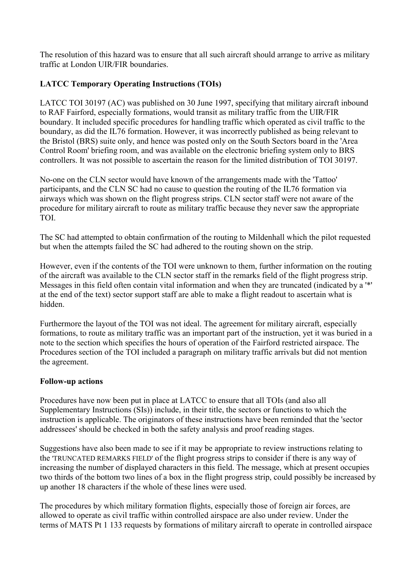The resolution of this hazard was to ensure that all such aircraft should arrange to arrive as military traffic at London UIR/FIR boundaries.

# **LATCC Temporary Operating Instructions (TOIs)**

LATCC TOI 30197 (AC) was published on 30 June 1997, specifying that military aircraft inbound to RAF Fairford, especially formations, would transit as military traffic from the UIR/FIR boundary. It included specific procedures for handling traffic which operated as civil traffic to the boundary, as did the IL76 formation. However, it was incorrectly published as being relevant to the Bristol (BRS) suite only, and hence was posted only on the South Sectors board in the 'Area Control Room' briefing room, and was available on the electronic briefing system only to BRS controllers. It was not possible to ascertain the reason for the limited distribution of TOI 30197.

No-one on the CLN sector would have known of the arrangements made with the 'Tattoo' participants, and the CLN SC had no cause to question the routing of the IL76 formation via airways which was shown on the flight progress strips. CLN sector staff were not aware of the procedure for military aircraft to route as military traffic because they never saw the appropriate TOI.

The SC had attempted to obtain confirmation of the routing to Mildenhall which the pilot requested but when the attempts failed the SC had adhered to the routing shown on the strip.

However, even if the contents of the TOI were unknown to them, further information on the routing of the aircraft was available to the CLN sector staff in the remarks field of the flight progress strip. Messages in this field often contain vital information and when they are truncated (indicated by a '\*' at the end of the text) sector support staff are able to make a flight readout to ascertain what is hidden.

Furthermore the layout of the TOI was not ideal. The agreement for military aircraft, especially formations, to route as military traffic was an important part of the instruction, yet it was buried in a note to the section which specifies the hours of operation of the Fairford restricted airspace. The Procedures section of the TOI included a paragraph on military traffic arrivals but did not mention the agreement.

# **Follow-up actions**

Procedures have now been put in place at LATCC to ensure that all TOIs (and also all Supplementary Instructions (SIs)) include, in their title, the sectors or functions to which the instruction is applicable. The originators of these instructions have been reminded that the 'sector addressees' should be checked in both the safety analysis and proof reading stages.

Suggestions have also been made to see if it may be appropriate to review instructions relating to the 'TRUNCATED REMARKS FIELD' of the flight progress strips to consider if there is any way of increasing the number of displayed characters in this field. The message, which at present occupies two thirds of the bottom two lines of a box in the flight progress strip, could possibly be increased by up another 18 characters if the whole of these lines were used.

The procedures by which military formation flights, especially those of foreign air forces, are allowed to operate as civil traffic within controlled airspace are also under review. Under the terms of MATS Pt 1 133 requests by formations of military aircraft to operate in controlled airspace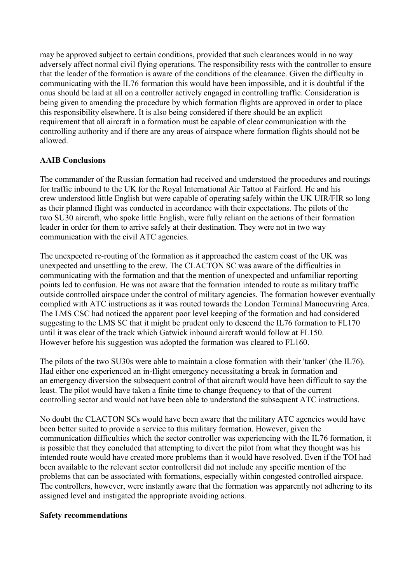may be approved subject to certain conditions, provided that such clearances would in no way adversely affect normal civil flying operations. The responsibility rests with the controller to ensure that the leader of the formation is aware of the conditions of the clearance. Given the difficulty in communicating with the IL76 formation this would have been impossible, and it is doubtful if the onus should be laid at all on a controller actively engaged in controlling traffic. Consideration is being given to amending the procedure by which formation flights are approved in order to place this responsibility elsewhere. It is also being considered if there should be an explicit requirement that all aircraft in a formation must be capable of clear communication with the controlling authority and if there are any areas of airspace where formation flights should not be allowed.

## **AAIB Conclusions**

The commander of the Russian formation had received and understood the procedures and routings for traffic inbound to the UK for the Royal International Air Tattoo at Fairford. He and his crew understood little English but were capable of operating safely within the UK UIR/FIR so long as their planned flight was conducted in accordance with their expectations. The pilots of the two SU30 aircraft, who spoke little English, were fully reliant on the actions of their formation leader in order for them to arrive safely at their destination. They were not in two way communication with the civil ATC agencies.

The unexpected re-routing of the formation as it approached the eastern coast of the UK was unexpected and unsettling to the crew. The CLACTON SC was aware of the difficulties in communicating with the formation and that the mention of unexpected and unfamiliar reporting points led to confusion. He was not aware that the formation intended to route as military traffic outside controlled airspace under the control of military agencies. The formation however eventually complied with ATC instructions as it was routed towards the London Terminal Manoeuvring Area. The LMS CSC had noticed the apparent poor level keeping of the formation and had considered suggesting to the LMS SC that it might be prudent only to descend the IL76 formation to FL170 until it was clear of the track which Gatwick inbound aircraft would follow at FL150. However before his suggestion was adopted the formation was cleared to FL160.

The pilots of the two SU30s were able to maintain a close formation with their 'tanker' (the IL76). Had either one experienced an in-flight emergency necessitating a break in formation and an emergency diversion the subsequent control of that aircraft would have been difficult to say the least. The pilot would have taken a finite time to change frequency to that of the current controlling sector and would not have been able to understand the subsequent ATC instructions.

No doubt the CLACTON SCs would have been aware that the military ATC agencies would have been better suited to provide a service to this military formation. However, given the communication difficulties which the sector controller was experiencing with the IL76 formation, it is possible that they concluded that attempting to divert the pilot from what they thought was his intended route would have created more problems than it would have resolved. Even if the TOI had been available to the relevant sector controllersit did not include any specific mention of the problems that can be associated with formations, especially within congested controlled airspace. The controllers, however, were instantly aware that the formation was apparently not adhering to its assigned level and instigated the appropriate avoiding actions.

#### **Safety recommendations**